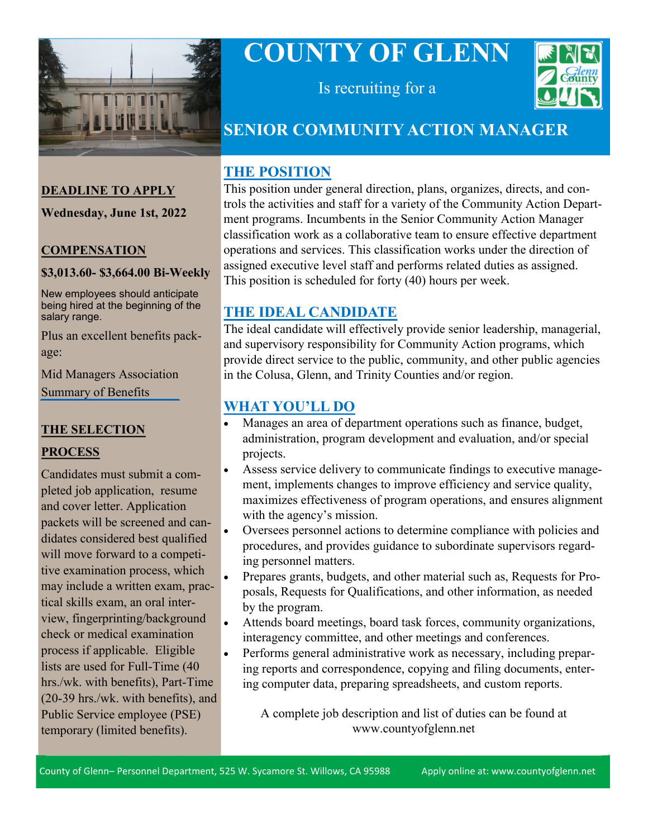

# **COUNTY OF GLENN**



Is recruiting for a

## **SENIOR COMMUNITY ACTION MANAGER**

#### **THE POSITION**

This position under general direction, plans, organizes, directs, and controls the activities and staff for a variety of the Community Action Department programs. Incumbents in the Senior Community Action Manager classification work as a collaborative team to ensure effective department operations and services. This classification works under the direction of assigned executive level staff and performs related duties as assigned. This position is scheduled for forty (40) hours per week.

#### **THE IDEAL CANDIDATE**

The ideal candidate will effectively provide senior leadership, managerial, and supervisory responsibility for Community Action programs, which provide direct service to the public, community, and other public agencies in the Colusa, Glenn, and Trinity Counties and/or region.

## **WHAT YOU'LL DO**

- Manages an area of department operations such as finance, budget, administration, program development and evaluation, and/or special projects.
- Assess service delivery to communicate findings to executive management, implements changes to improve efficiency and service quality, maximizes effectiveness of program operations, and ensures alignment with the agency's mission.
- Oversees personnel actions to determine compliance with policies and procedures, and provides guidance to subordinate supervisors regarding personnel matters.
- Prepares grants, budgets, and other material such as, Requests for Proposals, Requests for Qualifications, and other information, as needed by the program.
- Attends board meetings, board task forces, community organizations, interagency committee, and other meetings and conferences.
- Performs general administrative work as necessary, including preparing reports and correspondence, copying and filing documents, entering computer data, preparing spreadsheets, and custom reports.

A complete job description and list of duties can be found at www.countyofglenn.net

**DEADLINE TO APPLY**

**Wednesday, June 1st, 2022**

#### **COMPENSATION**

#### **\$3,013.60- \$3,664.00 Bi-Weekly**

New employees should anticipate being hired at the beginning of the salary range.

Plus an excellent benefits package:

[Mid Managers Association](https://www.countyofglenn.net/sites/default/files/Personnel/MOU/GCPERL%2017-GCMMA%20Sum%20of%20Benefits%2020110701_0.pdf)  Summary of Benefits

### **THE SELECTION PROCESS**

Candidates must submit a completed job application, resume and cover letter. Application packets will be screened and candidates considered best qualified will move forward to a competitive examination process, which may include a written exam, practical skills exam, an oral interview, fingerprinting/background check or medical examination process if applicable. Eligible lists are used for Full-Time (40 hrs./wk. with benefits), Part-Time (20-39 hrs./wk. with benefits), and Public Service employee (PSE) temporary (limited benefits).